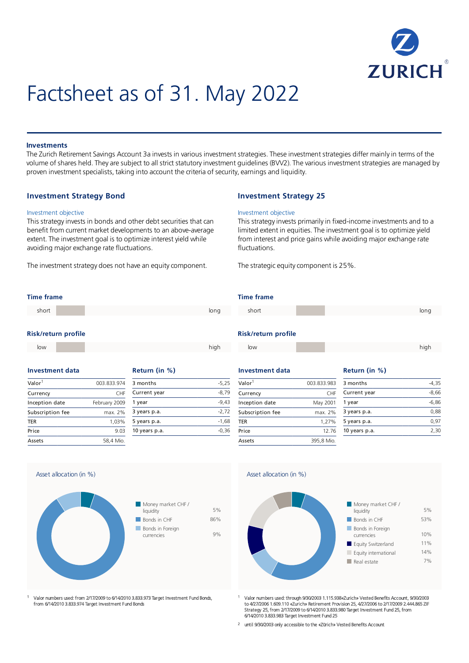

# Factsheet as of 31. May 2022

#### **Investments**

The Zurich Retirement Savings Account 3a invests in various investment strategies. These investment strategies differ mainly in terms of the volume of shares held. They are subject to all strict statutory investment guidelines (BVV2). The various investment strategies are managed by proven investment specialists, taking into account the criteria of security, earnings and liquidity.

#### **Investment Strategy Bond**

#### Investment objective

This strategy invests in bonds and other debt securities that can benefit from current market developments to an above-average extent. The investment goal is to optimize interest yield while avoiding major exchange rate fluctuations.

The investment strategy does not have an equity component.

#### **Investment Strategy 25**

#### Investment objective

This strategy invests primarily in fixed-income investments and to a limited extent in equities. The investment goal is to optimize yield from interest and price gains while avoiding major exchange rate fluctuations.

The strategic equity component is 25%.

#### **Time frame**

| short |                     |  |  | long |
|-------|---------------------|--|--|------|
|       | Dick/roturn profile |  |  |      |

#### **Risk/return profile**

low high and the contract of the contract of the contract of the contract of the contract of the contract of th

| investment data    |               |  |  |
|--------------------|---------------|--|--|
| Valor <sup>1</sup> | 003.833.974   |  |  |
| Currency           | <b>CHF</b>    |  |  |
| Inception date     | February 2009 |  |  |
| Subscription fee   | max. 2%       |  |  |
| <b>TER</b>         | 1,03%         |  |  |
| Price              | 9.03          |  |  |
| Assets             | 58,4 Mio.     |  |  |

| stment data  |                 | Return (in %) |         |
|--------------|-----------------|---------------|---------|
|              | 003.833.974     | 3 months      | $-5,25$ |
| ncy:         | CH <sub>F</sub> | Current year  | $-8,79$ |
| tion date    | February 2009   | 1 year        | $-9,43$ |
| ription fee: | max. 2%         | 3 years p.a.  | $-2,72$ |
|              | 1.03%           | 5 years p.a.  | $-1,68$ |

10 years p.a. -0,36

### **Time frame**



### **Risk/return profile**

| low | high<br>٠ |
|-----|-----------|
|     |           |

#### **Investment data Return** (in %)

| Valor <sup>1</sup> | 003.833.983 |
|--------------------|-------------|
| Currency           | <b>CHF</b>  |
| Inception date     | May 2001    |
| Subscription fee   | max. 2%     |
| <b>TER</b>         | 1.27%       |
| Price              | 12.76       |
| Assets             | 395.8 Mio.  |

Asset allocation (in %)

|              | 003.833.983 | 3 months      | $-4,35$ |
|--------------|-------------|---------------|---------|
| ncy!         | CHF         | Current year  | $-8,66$ |
| tion date    | May 2001    | 1 year        | $-6,86$ |
| ription fee: | max. 2%     | 3 years p.a.  | 0,88    |
|              | 1,27%       | 5 years p.a.  | 0,97    |
|              | 12.76       | 10 years p.a. | 2,30    |
|              |             |               |         |



Valor numbers used: through 9/30/2003 1.115.938«Zurich» Vested Benefits Account, 9/30/2003 to 4/27/2006 1.609.110 «Zurich» Retirement Provision 25, 4/27/2006 to 2/17/2009 2.444.865 ZIF Strategy 25, from 2/17/2009 to 6/14/2010 3.833.980 Target Investment Fund 25, from 6/14/2010 3.833.983 Target Investment Fund 25 1

until 9/30/2003 only accessible to the «Zürich» Vested Benefits Account 2

Asset allocation (in %)



Valor numbers used: from 2/17/2009 to 6/14/2010 3.833.973 Target Investment Fund Bonds, from 6/14/2010 3.833.974 Target Investment Fund Bonds 1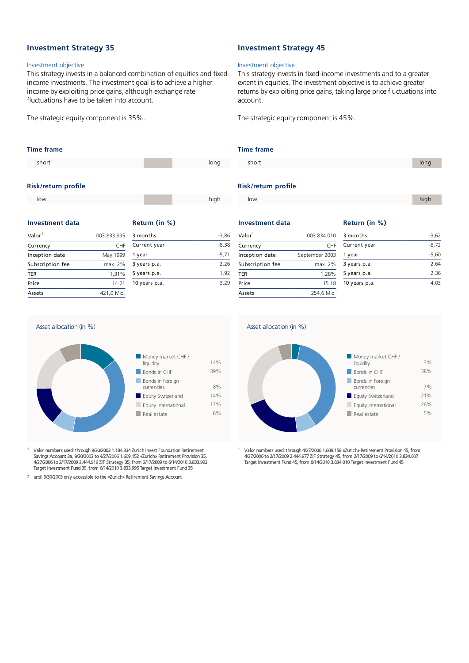### **Investment Strategy 35**

#### Investment objective

This strategy invests in a balanced combination of equities and fixedincome investments. The investment goal is to achieve a higher income by exploiting price gains, although exchange rate fluctuations have to be taken into account.

The strategic equity component is 35%.

# **Time frame Risk/return profile** short in the contract of the contract of the contract of the contract of the contract of the contract of the co low high and the contract of the contract of the contract of the contract of the contract of the contract of th

#### **Investment data Return** (in %)

| Valor <sup>1</sup> | 003.833.995 |
|--------------------|-------------|
| Currency           | <b>CHF</b>  |
| Inception date     | May 1999    |
| Subscription fee   | max. 2%     |
| <b>TER</b>         | 1,31%       |
| Price              | 14.21       |
| Assets             | 421,0 Mio.  |

|              | 003.833.995  | 3 months      | $-3,86$ |
|--------------|--------------|---------------|---------|
| ncy؛         | CHF          | Current year  | $-8,38$ |
| tion date    | May 1999     | 1 year        | $-5,71$ |
| ription fee: | max. 2%      | 3 years p.a.  | 2,26    |
|              | 1,31%        | 5 years p.a.  | 1,92    |
|              | 14.21        | 10 years p.a. | 3,29    |
|              | $\mathbf{A}$ |               |         |

### **Investment Strategy 45**

#### Investment objective

This strategy invests in fixed-income investments and to a greater extent in equities. The investment objective is to achieve greater returns by exploiting price gains, taking large price fluctuations into account.

The strategic equity component is 45%.

#### **Time frame**

short in the state of the state of the state of the state of the state of the state of the state of the state o

#### **Risk/return profile**

| low | high |
|-----|------|
|     |      |

| Valor <sup>1</sup> | 003.834.010    |  |
|--------------------|----------------|--|
| Currency           | <b>CHF</b>     |  |
| Inception date     | September 2003 |  |
| Subscription fee   | max. 2%        |  |
| <b>TER</b>         | 1,28%          |  |
| Price              | 15.18          |  |
| Assets             | 254.6 Mio.     |  |

## **Investment data Return** (in %)

|              | 003.834.010    | 3 months      | $-3,62$ |
|--------------|----------------|---------------|---------|
| ncy!         | <b>CHF</b>     | Current year  | $-8,72$ |
| tion date    | September 2003 | 1 year        | $-5,60$ |
| ription fee: | max. 2%        | 3 years p.a.  | 2,64    |
|              | 1,28%          | 5 years p.a.  | 2,36    |
|              | 15.18          | 10 years p.a. | 4,03    |
|              |                |               |         |



Valor numbers used: through 4/27/2006 1.609.158 «Zurich» Retirement Provision 45, from<br>4/27/2006 to 2/17/2009 2.444.977 ZIF Strategy 45, from 2/17/2009 to 6/14/2010 3.834.007<br>Target Investment Fund 45, from 6/14/2010 3.834 1

# Asset allocation (in %)



- Valor numbers used: through 9/30/2003 1.184.334 Zurich Invest Foundation Retirement Savings Account 3a, 9/30/2003 to 4/27/2006 1.609.152 «Zurich» Retirement Provision 35, 4/27/2006 to 2/17/2009 2.444.919 ZIF Strategy 35, from 2/17/2009 to 6/14/2010 3.833.993 Target Investment Fund 35, from 6/14/2010 3.833.995 Target Investment Fund 35 1
- until 9/30/2003 only accessible to the «Zurich» Retirement Savings Account 2